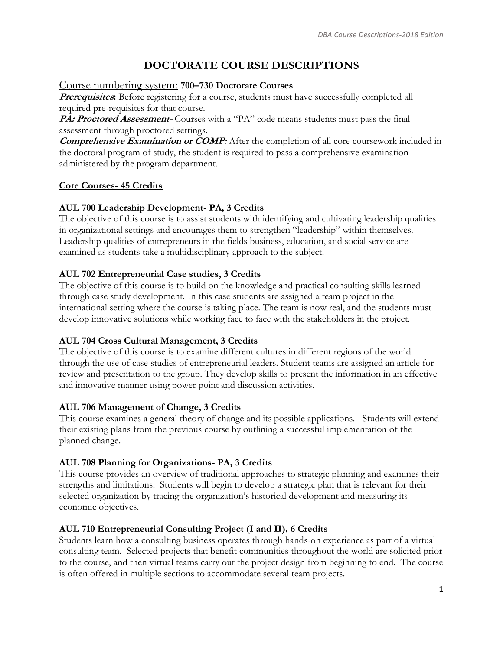# **DOCTORATE COURSE DESCRIPTIONS**

### Course numbering system: **700–730 Doctorate Courses**

**Prerequisites:** Before registering for a course, students must have successfully completed all required pre-requisites for that course.

PA: Proctored Assessment-Courses with a "PA" code means students must pass the final assessment through proctored settings.

**Comprehensive Examination or COMP:** After the completion of all core coursework included in the doctoral program of study, the student is required to pass a comprehensive examination administered by the program department.

# **Core Courses- 45 Credits**

# **AUL 700 Leadership Development- PA, 3 Credits**

The objective of this course is to assist students with identifying and cultivating leadership qualities in organizational settings and encourages them to strengthen "leadership" within themselves. Leadership qualities of entrepreneurs in the fields business, education, and social service are examined as students take a multidisciplinary approach to the subject.

# **AUL 702 Entrepreneurial Case studies, 3 Credits**

The objective of this course is to build on the knowledge and practical consulting skills learned through case study development. In this case students are assigned a team project in the international setting where the course is taking place. The team is now real, and the students must develop innovative solutions while working face to face with the stakeholders in the project.

# **AUL 704 Cross Cultural Management, 3 Credits**

The objective of this course is to examine different cultures in different regions of the world through the use of case studies of entrepreneurial leaders. Student teams are assigned an article for review and presentation to the group. They develop skills to present the information in an effective and innovative manner using power point and discussion activities.

# **AUL 706 Management of Change, 3 Credits**

This course examines a general theory of change and its possible applications. Students will extend their existing plans from the previous course by outlining a successful implementation of the planned change.

# **AUL 708 Planning for Organizations- PA, 3 Credits**

This course provides an overview of traditional approaches to strategic planning and examines their strengths and limitations. Students will begin to develop a strategic plan that is relevant for their selected organization by tracing the organization's historical development and measuring its economic objectives.

# **AUL 710 Entrepreneurial Consulting Project (I and II), 6 Credits**

Students learn how a consulting business operates through hands-on experience as part of a virtual consulting team. Selected projects that benefit communities throughout the world are solicited prior to the course, and then virtual teams carry out the project design from beginning to end. The course is often offered in multiple sections to accommodate several team projects.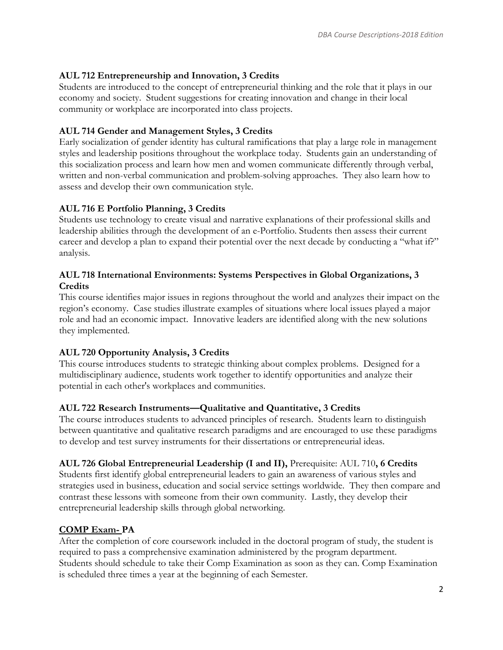### **AUL 712 Entrepreneurship and Innovation, 3 Credits**

Students are introduced to the concept of entrepreneurial thinking and the role that it plays in our economy and society. Student suggestions for creating innovation and change in their local community or workplace are incorporated into class projects.

### **AUL 714 Gender and Management Styles, 3 Credits**

Early socialization of gender identity has cultural ramifications that play a large role in management styles and leadership positions throughout the workplace today. Students gain an understanding of this socialization process and learn how men and women communicate differently through verbal, written and non-verbal communication and problem-solving approaches. They also learn how to assess and develop their own communication style.

### **AUL 716 E Portfolio Planning, 3 Credits**

Students use technology to create visual and narrative explanations of their professional skills and leadership abilities through the development of an e-Portfolio. Students then assess their current career and develop a plan to expand their potential over the next decade by conducting a "what if?" analysis.

### **AUL 718 International Environments: Systems Perspectives in Global Organizations, 3 Credits**

This course identifies major issues in regions throughout the world and analyzes their impact on the region's economy. Case studies illustrate examples of situations where local issues played a major role and had an economic impact. Innovative leaders are identified along with the new solutions they implemented.

### **AUL 720 Opportunity Analysis, 3 Credits**

This course introduces students to strategic thinking about complex problems. Designed for a multidisciplinary audience, students work together to identify opportunities and analyze their potential in each other's workplaces and communities.

#### **AUL 722 Research Instruments—Qualitative and Quantitative, 3 Credits**

The course introduces students to advanced principles of research. Students learn to distinguish between quantitative and qualitative research paradigms and are encouraged to use these paradigms to develop and test survey instruments for their dissertations or entrepreneurial ideas.

#### **AUL 726 Global Entrepreneurial Leadership (I and II),** Prerequisite: AUL 710**, 6 Credits**

Students first identify global entrepreneurial leaders to gain an awareness of various styles and strategies used in business, education and social service settings worldwide. They then compare and contrast these lessons with someone from their own community. Lastly, they develop their entrepreneurial leadership skills through global networking.

### **COMP Exam- PA**

After the completion of core coursework included in the doctoral program of study, the student is required to pass a comprehensive examination administered by the program department. Students should schedule to take their Comp Examination as soon as they can. Comp Examination is scheduled three times a year at the beginning of each Semester.